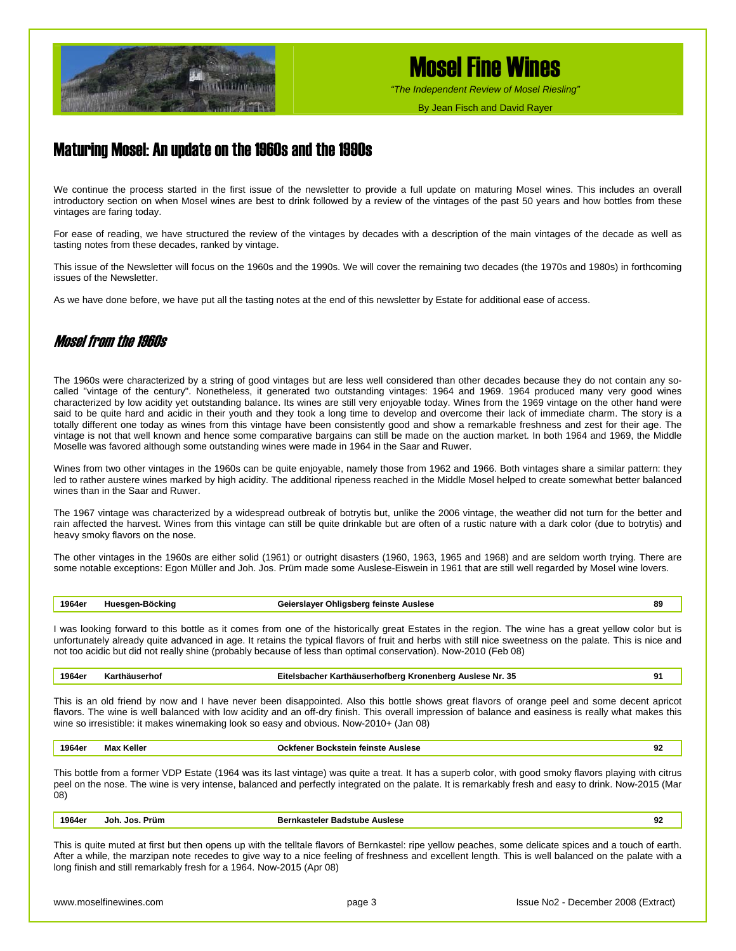

# Mosel Fine Wines

*"The Independent Review of Mosel Riesling"*

By Jean Fisch and David Rayer

## Maturing Mosel: An update on the 1960s and the 1990s

We continue the process started in the first issue of the newsletter to provide a full update on maturing Mosel wines. This includes an overall introductory section on when Mosel wines are best to drink followed by a review of the vintages of the past 50 years and how bottles from these vintages are faring today.

For ease of reading, we have structured the review of the vintages by decades with a description of the main vintages of the decade as well as tasting notes from these decades, ranked by vintage.

This issue of the Newsletter will focus on the 1960s and the 1990s. We will cover the remaining two decades (the 1970s and 1980s) in forthcoming issues of the Newsletter.

As we have done before, we have put all the tasting notes at the end of this newsletter by Estate for additional ease of access.

## Mosel from the 1960s

The 1960s were characterized by a string of good vintages but are less well considered than other decades because they do not contain any socalled "vintage of the century". Nonetheless, it generated two outstanding vintages: 1964 and 1969. 1964 produced many very good wines characterized by low acidity yet outstanding balance. Its wines are still very enjoyable today. Wines from the 1969 vintage on the other hand were said to be quite hard and acidic in their youth and they took a long time to develop and overcome their lack of immediate charm. The story is a totally different one today as wines from this vintage have been consistently good and show a remarkable freshness and zest for their age. The vintage is not that well known and hence some comparative bargains can still be made on the auction market. In both 1964 and 1969, the Middle Moselle was favored although some outstanding wines were made in 1964 in the Saar and Ruwer.

Wines from two other vintages in the 1960s can be quite enjoyable, namely those from 1962 and 1966. Both vintages share a similar pattern: they led to rather austere wines marked by high acidity. The additional ripeness reached in the Middle Mosel helped to create somewhat better balanced wines than in the Saar and Ruwer.

The 1967 vintage was characterized by a widespread outbreak of botrytis but, unlike the 2006 vintage, the weather did not turn for the better and rain affected the harvest. Wines from this vintage can still be quite drinkable but are often of a rustic nature with a dark color (due to botrytis) and heavy smoky flavors on the nose.

The other vintages in the 1960s are either solid (1961) or outright disasters (1960, 1963, 1965 and 1968) and are seldom worth trying. There are some notable exceptions: Egon Müller and Joh. Jos. Prüm made some Auslese-Eiswein in 1961 that are still well regarded by Mosel wine lovers.

### **1964er Huesgen-Böcking Geierslayer Ohligsberg feinste Auslese 89**

I was looking forward to this bottle as it comes from one of the historically great Estates in the region. The wine has a great yellow color but is unfortunately already quite advanced in age. It retains the typical flavors of fruit and herbs with still nice sweetness on the palate. This is nice and not too acidic but did not really shine (probably because of less than optimal conservation). Now-2010 (Feb 08)

**1964er Karthäuserhof Eitelsbacher Karthäuserhofberg Kronenberg Auslese Nr. 35 91**

This is an old friend by now and I have never been disappointed. Also this bottle shows great flavors of orange peel and some decent apricot flavors. The wine is well balanced with low acidity and an off-dry finish. This overall impression of balance and easiness is really what makes this wine so irresistible: it makes winemaking look so easy and obvious. Now-2010+ (Jan 08)

**1964er Max Keller Ockfener Bockstein feinste Auslese 92**

This bottle from a former VDP Estate (1964 was its last vintage) was quite a treat. It has a superb color, with good smoky flavors playing with citrus peel on the nose. The wine is very intense, balanced and perfectly integrated on the palate. It is remarkably fresh and easy to drink. Now-2015 (Mar 08)

| 1964eı<br>. | .Jos.<br>Joh.<br>Prum | stele<br>ы | 92<br>$\sim$ |
|-------------|-----------------------|------------|--------------|
|             |                       |            |              |

This is quite muted at first but then opens up with the telltale flavors of Bernkastel: ripe yellow peaches, some delicate spices and a touch of earth. After a while, the marzipan note recedes to give way to a nice feeling of freshness and excellent length. This is well balanced on the palate with a long finish and still remarkably fresh for a 1964. Now-2015 (Apr 08)